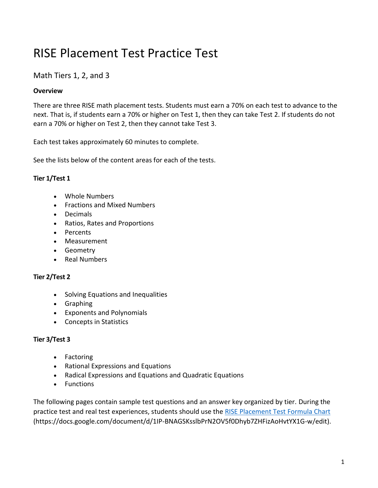# RISE Placement Test Practice Test

# Math Tiers 1, 2, and 3

# **Overview**

There are three RISE math placement tests. Students must earn a 70% on each test to advance to the next. That is, if students earn a 70% or higher on Test 1, then they can take Test 2. If students do not earn a 70% or higher on Test 2, then they cannot take Test 3.

Each test takes approximately 60 minutes to complete.

See the lists below of the content areas for each of the tests.

# **Tier 1/Test 1**

- Whole Numbers
- Fractions and Mixed Numbers
- Decimals
- Ratios, Rates and Proportions
- Percents
- Measurement
- Geometry
- Real Numbers

# **Tier 2/Test 2**

- Solving Equations and Inequalities
- Graphing
- Exponents and Polynomials
- Concepts in Statistics

# **Tier 3/Test 3**

- Factoring
- Rational Expressions and Equations
- Radical Expressions and Equations and Quadratic Equations
- Functions

The following pages contain sample test questions and an answer key organized by tier. During the practice test and real test experiences, students should use the [RISE Placement Test Formula Chart](https://docs.google.com/document/d/1IP-BNAGSKsslbPrN2OV5f0Dhyb7ZHFizAoHvtYX1G-w/edit) (https://docs.google.com/document/d/1IP-BNAGSKsslbPrN2OV5f0Dhyb7ZHFizAoHvtYX1G-w/edit).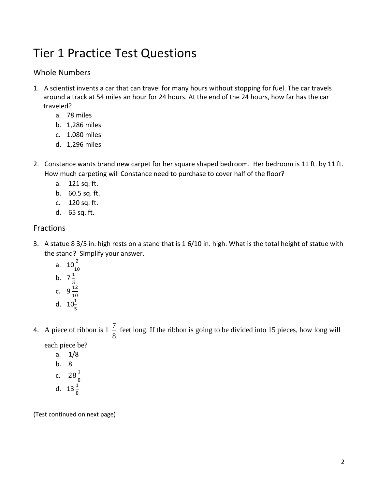# Tier 1 Practice Test Questions

# Whole Numbers

- 1. A scientist invents a car that can travel for many hours without stopping for fuel. The car travels around a track at 54 miles an hour for 24 hours. At the end of the 24 hours, how far has the car traveled?
	- a. 78 miles
	- b. 1,286 miles
	- c. 1,080 miles
	- d. 1,296 miles
- 2. Constance wants brand new carpet for her square shaped bedroom. Her bedroom is 11 ft. by 11 ft. How much carpeting will Constance need to purchase to cover half of the floor?
	- a. 121 sq. ft.
	- b. 60.5 sq. ft.
	- c. 120 sq. ft.
	- d. 65 sq. ft.

# **Fractions**

- 3. A statue 8 3/5 in. high rests on a stand that is 1 6/10 in. high. What is the total height of statue with the stand? Simplify your answer.
	- a.  $10^{\frac{2}{10}}$ b.  $7\frac{1}{5}$ c.  $9\frac{12}{10}$ d.  $10^{\frac{1}{5}}$
- 4. A piece of ribbon is  $1\frac{7}{8}$  $\frac{7}{5}$  feet long. If the ribbon is going to be divided into 15 pieces, how long will

each piece be?

a. 1/8 b. 8 c.  $28\frac{1}{8}$ d.  $13\frac{1}{8}$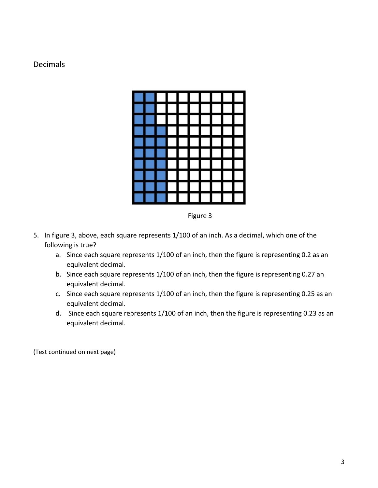# Decimals



Figure 3

- 5. In figure 3, above, each square represents 1/100 of an inch. As a decimal, which one of the following is true?
	- a. Since each square represents 1/100 of an inch, then the figure is representing 0.2 as an equivalent decimal.
	- b. Since each square represents 1/100 of an inch, then the figure is representing 0.27 an equivalent decimal.
	- c. Since each square represents 1/100 of an inch, then the figure is representing 0.25 as an equivalent decimal.
	- d. Since each square represents 1/100 of an inch, then the figure is representing 0.23 as an equivalent decimal.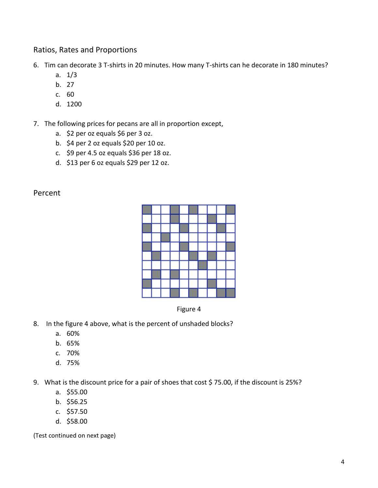# Ratios, Rates and Proportions

6. Tim can decorate 3 T-shirts in 20 minutes. How many T-shirts can he decorate in 180 minutes?

- a. 1/3
- b. 27
- c. 60
- d. 1200
- 7. The following prices for pecans are all in proportion except,
	- a. \$2 per oz equals \$6 per 3 oz.
	- b. \$4 per 2 oz equals \$20 per 10 oz.
	- c. \$9 per 4.5 oz equals \$36 per 18 oz.
	- d. \$13 per 6 oz equals \$29 per 12 oz.

#### Percent





- 8. In the figure 4 above, what is the percent of unshaded blocks?
	- a. 60%
	- b. 65%
	- c. 70%
	- d. 75%

9. What is the discount price for a pair of shoes that cost \$ 75.00, if the discount is 25%?

- a. \$55.00
- b. \$56.25
- c. \$57.50
- d. \$58.00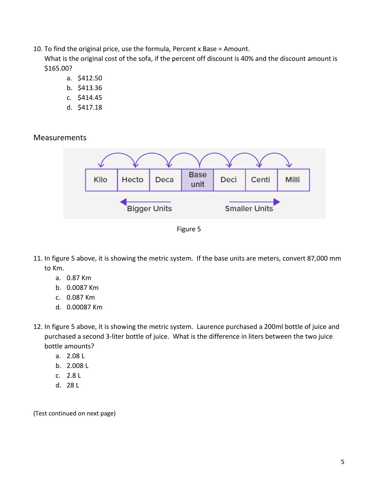10. To find the original price, use the formula, Percent x Base = Amount.

What is the original cost of the sofa, if the percent off discount is 40% and the discount amount is \$165.00?

- a. \$412.50
- b. \$413.36
- c. \$414.45
- d. \$417.18

**Measurements** 





- 11. In figure 5 above, it is showing the metric system. If the base units are meters, convert 87,000 mm to Km.
	- a. 0.87 Km
	- b. 0.0087 Km
	- c. 0.087 Km
	- d. 0.00087 Km
- 12. In figure 5 above, it is showing the metric system. Laurence purchased a 200ml bottle of juice and purchased a second 3-liter bottle of juice. What is the difference in liters between the two juice bottle amounts?
	- a. 2.08 L
	- b. 2.008 L
	- c. 2.8 L
	- d. 28 L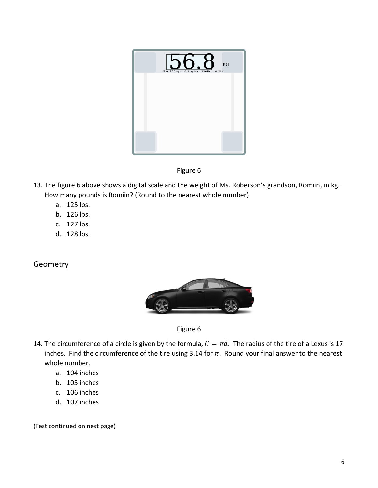

Figure 6

- 13. The figure 6 above shows a digital scale and the weight of Ms. Roberson's grandson, Romiin, in kg. How many pounds is Romiin? (Round to the nearest whole number)
	- a. 125 lbs.
	- b. 126 lbs.
	- c. 127 lbs.
	- d. 128 lbs.

# **Geometry**



Figure 6

- 14. The circumference of a circle is given by the formula,  $C = \pi d$ . The radius of the tire of a Lexus is 17 inches. Find the circumference of the tire using 3.14 for  $\pi$ . Round your final answer to the nearest whole number.
	- a. 104 inches
	- b. 105 inches
	- c. 106 inches
	- d. 107 inches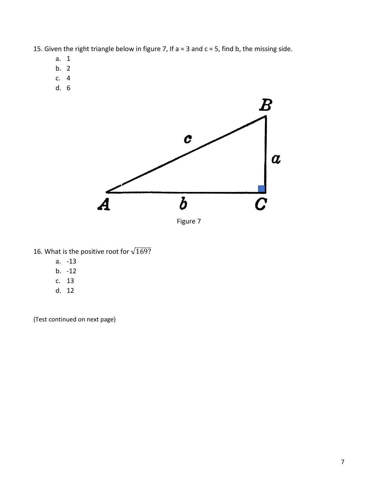- 15. Given the right triangle below in figure 7, If  $a = 3$  and  $c = 5$ , find b, the missing side.
	- a. 1
	- b. 2
	- c. 4
	- d. 6



- 16. What is the positive root for  $\sqrt{169?}$ 
	- a. -13
	- b. -12
	- c. 13
	- d. 12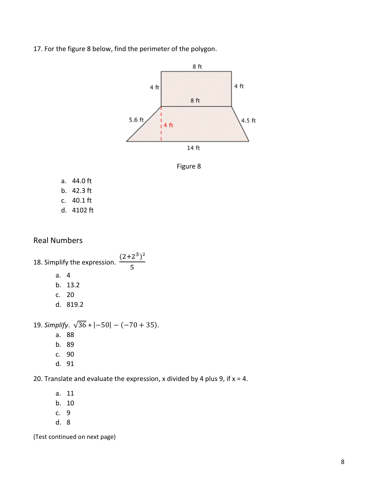17. For the figure 8 below, find the perimeter of the polygon.





a. 44.0 ft b. 42.3 ft c. 40.1 ft d. 4102 ft

# Real Numbers

18. Simplify the expression.  $(2+2^3)^2$ 5 a. 4 b. 13.2 c. 20 d. 819.2 19. *Simplify*. √36 + |−50| − (−70 + 35). a. 88 b. 89 c. 90

d. 91

20. Translate and evaluate the expression, x divided by 4 plus 9, if  $x = 4$ .

a. 11 b. 10 c. 9 d. 8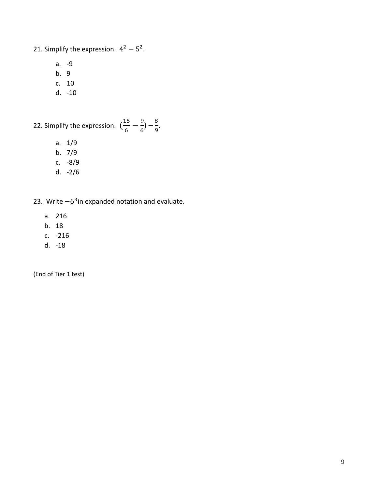21. Simplify the expression.  $4^2 - 5^2$ .

- a. -9
- b. 9
- c. 10
- d. -10

22. Simplify the expression.  $\left(\frac{15}{6}\right)$  $\frac{15}{6} - \frac{9}{6}$  $\frac{9}{6}$ ) –  $\frac{8}{9}$  $\frac{6}{9}$ .

- a. 1/9
- b. 7/9
- c. -8/9
- d. -2/6
- 23. Write  $-6<sup>3</sup>$ in expanded notation and evaluate.
	- a. 216
	- b. 18
	- c. -216
	- d. -18

(End of Tier 1 test)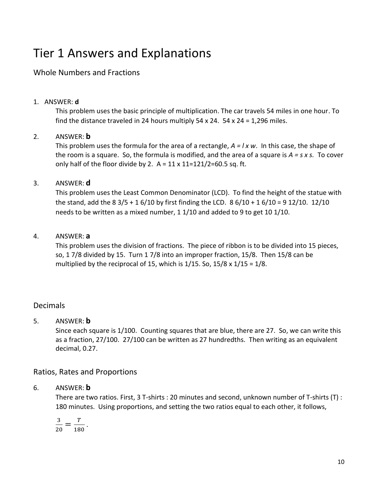# Tier 1 Answers and Explanations

# Whole Numbers and Fractions

#### 1. ANSWER: **d**

This problem uses the basic principle of multiplication. The car travels 54 miles in one hour. To find the distance traveled in 24 hours multiply 54 x 24. 54 x 24 = 1,296 miles.

#### 2. ANSWER: **b**

This problem uses the formula for the area of a rectangle, *A = l x w*. In this case, the shape of the room is a square. So, the formula is modified, and the area of a square is *A = s x s.* To cover only half of the floor divide by 2.  $A = 11 \times 11 = 121/2 = 60.5$  sq. ft.

#### 3. ANSWER: **d**

This problem uses the Least Common Denominator (LCD). To find the height of the statue with the stand, add the 8 3/5 + 1 6/10 by first finding the LCD. 8 6/10 + 1 6/10 = 9 12/10. 12/10 needs to be written as a mixed number, 1 1/10 and added to 9 to get 10 1/10.

#### 4. ANSWER: **a**

This problem uses the division of fractions. The piece of ribbon is to be divided into 15 pieces, so, 1 7/8 divided by 15. Turn 1 7/8 into an improper fraction, 15/8. Then 15/8 can be multiplied by the reciprocal of 15, which is  $1/15$ . So,  $15/8 \times 1/15 = 1/8$ .

# Decimals

# 5. ANSWER: **b**

Since each square is 1/100. Counting squares that are blue, there are 27. So, we can write this as a fraction, 27/100. 27/100 can be written as 27 hundredths. Then writing as an equivalent decimal, 0.27.

# Ratios, Rates and Proportions

#### 6. ANSWER: **b**

There are two ratios. First, 3 T-shirts : 20 minutes and second, unknown number of T-shirts (T) : 180 minutes. Using proportions, and setting the two ratios equal to each other, it follows,

$$
\frac{3}{20}=\frac{T}{180}.
$$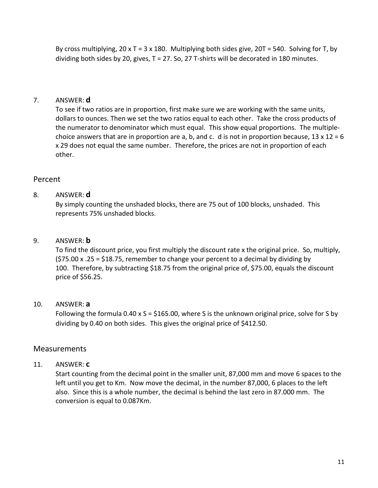By cross multiplying,  $20 \times T = 3 \times 180$ . Multiplying both sides give,  $20T = 540$ . Solving for T, by dividing both sides by 20, gives,  $T = 27$ . So, 27 T-shirts will be decorated in 180 minutes.

# 7. ANSWER: **d**

To see if two ratios are in proportion, first make sure we are working with the same units, dollars to ounces. Then we set the two ratios equal to each other. Take the cross products of the numerator to denominator which must equal. This show equal proportions. The multiplechoice answers that are in proportion are a, b, and c. d is not in proportion because,  $13 \times 12 = 6$ x 29 does not equal the same number. Therefore, the prices are not in proportion of each other.

# Percent

# 8. ANSWER: **d**

By simply counting the unshaded blocks, there are 75 out of 100 blocks, unshaded. This represents 75% unshaded blocks.

# 9. ANSWER: **b**

To find the discount price, you first multiply the discount rate x the original price. So, multiply, (\$75.00 x .25 = \$18.75, remember to change your percent to a decimal by dividing by 100. Therefore, by subtracting \$18.75 from the original price of, \$75.00, equals the discount price of \$56.25.

#### 10. ANSWER: **a**

Following the formula 0.40 x S = \$165.00, where S is the unknown original price, solve for S by dividing by 0.40 on both sides. This gives the original price of \$412.50.

# **Measurements**

#### 11. ANSWER: **c**

Start counting from the decimal point in the smaller unit, 87,000 mm and move 6 spaces to the left until you get to Km. Now move the decimal, in the number 87,000, 6 places to the left also. Since this is a whole number, the decimal is behind the last zero in 87.000 mm. The conversion is equal to 0.087Km.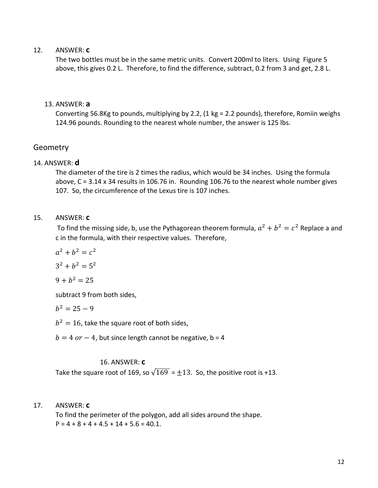#### 12. ANSWER: **c**

The two bottles must be in the same metric units. Convert 200ml to liters. Using Figure 5 above, this gives 0.2 L. Therefore, to find the difference, subtract, 0.2 from 3 and get, 2.8 L.

#### 13. ANSWER: **a**

Converting 56.8Kg to pounds, multiplying by 2.2, (1 kg = 2.2 pounds), therefore, Romiin weighs 124.96 pounds. Rounding to the nearest whole number, the answer is 125 lbs.

#### Geometry

#### 14. ANSWER: **d**

The diameter of the tire is 2 times the radius, which would be 34 inches. Using the formula above, C = 3.14 x 34 results in 106.76 in. Rounding 106.76 to the nearest whole number gives 107. So, the circumference of the Lexus tire is 107 inches.

#### 15. ANSWER: **c**

To find the missing side, b, use the Pythagorean theorem formula,  $a^2 + b^2 = c^2$  Replace a and c in the formula, with their respective values. Therefore,

$$
a^2 + b^2 = c^2
$$

$$
3^2 + b^2 = 5^2
$$

$$
9+b^2=25
$$

subtract 9 from both sides,

$$
b^2=25-9
$$

 $b^2 = 16$ , take the square root of both sides,

 $b = 4$  or  $- 4$ , but since length cannot be negative, b = 4

#### 16. ANSWER: **c**

Take the square root of 169, so  $\sqrt{169}$  =  $\pm$ 13. So, the positive root is +13.

17. ANSWER: **c**

To find the perimeter of the polygon, add all sides around the shape.  $P = 4 + 8 + 4 + 4.5 + 14 + 5.6 = 40.1$ .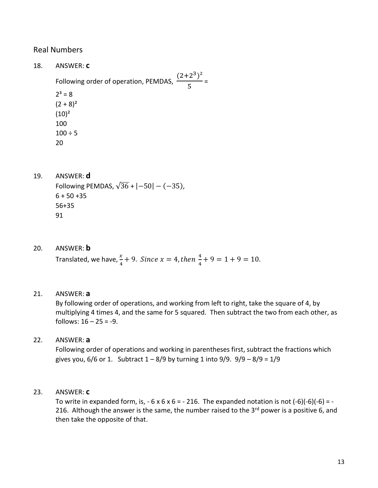# Real Numbers

- 18. ANSWER: **c** Following order of operation, PEMDAS,  $(2+2^3)^2$  $\frac{1}{5}$  =  $2^3 = 8$  $(2 + 8)^2$  $(10)^2$ 100  $100 \div 5$ 20
- 19. ANSWER: **d** Following PEMDAS,  $\sqrt{36}$  +  $\left[-50\right]$  –  $(-35)$ ,  $6 + 50 + 35$ 56+35 91
- 20. ANSWER: **b** Translated, we have,  $\frac{x}{4} + 9$ . Since  $x = 4$ , then  $\frac{4}{4}$  $\frac{4}{4} + 9 = 1 + 9 = 10.$
- 21. ANSWER: **a**

By following order of operations, and working from left to right, take the square of 4, by multiplying 4 times 4, and the same for 5 squared. Then subtract the two from each other, as follows:  $16 - 25 = -9$ .

# 22. ANSWER: **a**

Following order of operations and working in parentheses first, subtract the fractions which gives you,  $6/6$  or 1. Subtract  $1 - 8/9$  by turning 1 into  $9/9$ .  $9/9 - 8/9 = 1/9$ 

23. ANSWER: **c**

To write in expanded form, is,  $-6 \times 6 \times 6 = -216$ . The expanded notation is not  $(-6)(-6)(-6) = -$ 216. Although the answer is the same, the number raised to the  $3<sup>rd</sup>$  power is a positive 6, and then take the opposite of that.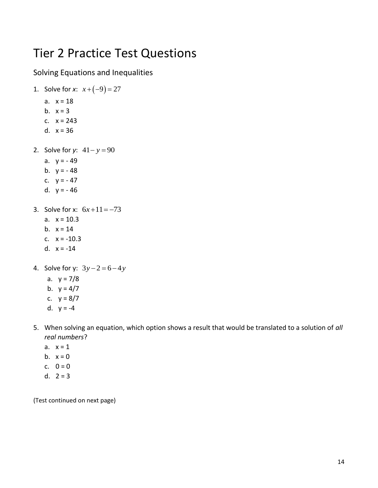# Tier 2 Practice Test Questions

# Solving Equations and Inequalities

- 1. Solve for *x*:  $x + (-9) = 27$ a.  $x = 18$ b.  $x = 3$ c. x = 243 d.  $x = 36$ 2. Solve for *y*:  $41 - y = 90$ a.  $y = -49$ 
	- b.  $v = -48$
	- c.  $y = -47$
	- d.  $y = -46$
- 3. Solve for x:  $6x+11 = -73$ 
	- a.  $x = 10.3$
	- b.  $x = 14$
	- c. x = -10.3
	- d.  $x = -14$
- 4. Solve for y:  $3y 2 = 6 4y$ 
	- a.  $y = 7/8$
	- b.  $y = 4/7$
	- c.  $y = 8/7$
	- d.  $y = -4$
- 5. When solving an equation, which option shows a result that would be translated to a solution of *all real numbers*?
	- a.  $x = 1$
	- b.  $x = 0$
	- c.  $0 = 0$
	- d.  $2 = 3$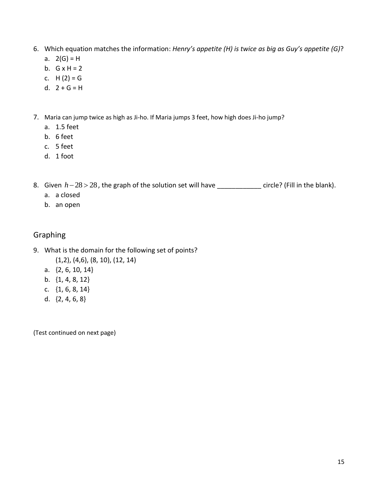- 6. Which equation matches the information: *Henry's appetite (H) is twice as big as Guy's appetite (G)*?
	- a.  $2(G) = H$
	- b.  $G \times H = 2$
	- c.  $H(2) = G$
	- d.  $2 + G = H$
- 7. Maria can jump twice as high as Ji-ho. If Maria jumps 3 feet, how high does Ji-ho jump?
	- a. 1.5 feet
	- b. 6 feet
	- c. 5 feet
	- d. 1 foot

8. Given *h*−28 > 28, the graph of the solution set will have \_\_\_\_\_\_\_\_\_\_\_\_\_ circle? (Fill in the blank).

- a. a closed
- b. an open

# Graphing

- 9. What is the domain for the following set of points? (1,2), (4,6), (8, 10), (12, 14)
	- a. {2, 6, 10, 14}
	- b. {1, 4, 8, 12}
	- c. {1, 6, 8, 14}
	- d. {2, 4, 6, 8}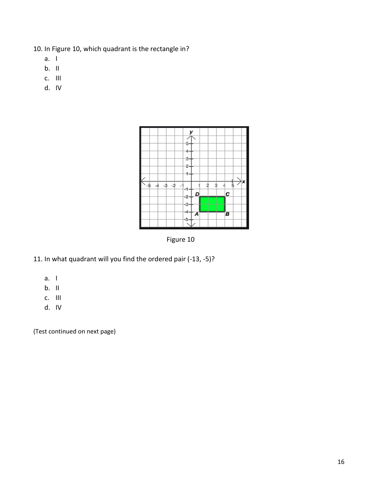- 10. In Figure 10, which quadrant is the rectangle in?
	- a. I
	- b. II
	- c. III
	- d. IV



Figure 10

- 11. In what quadrant will you find the ordered pair (-13, -5)?
	- a. I
	- $b.$  II
	- c. III
	- d. IV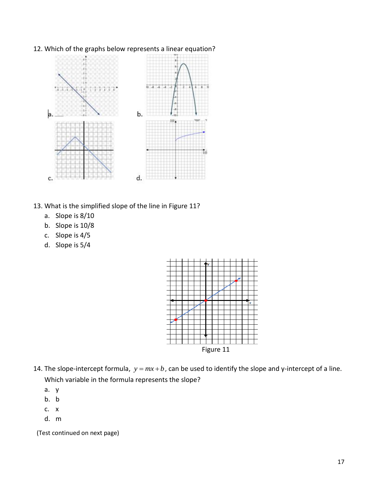

# 12. Which of the graphs below represents a linear equation?

- 13. What is the simplified slope of the line in Figure 11?
	- a. Slope is 8/10
	- b. Slope is 10/8
	- c. Slope is 4/5
	- d. Slope is 5/4



- 14. The slope-intercept formula,  $y = mx + b$ , can be used to identify the slope and y-intercept of a line. Which variable in the formula represents the slope?
	- a. y
	- b. b
	- c. x
	- d. m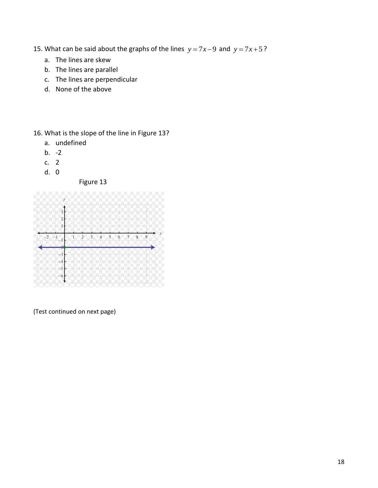- 15. What can be said about the graphs of the lines  $y = 7x 9$  and  $y = 7x + 5$ ?
	- a. The lines are skew
	- b. The lines are parallel
	- c. The lines are perpendicular
	- d. None of the above

16. What is the slope of the line in Figure 13?

- a. undefined
- b.  $-2$
- c. 2
- d. 0

Figure 13

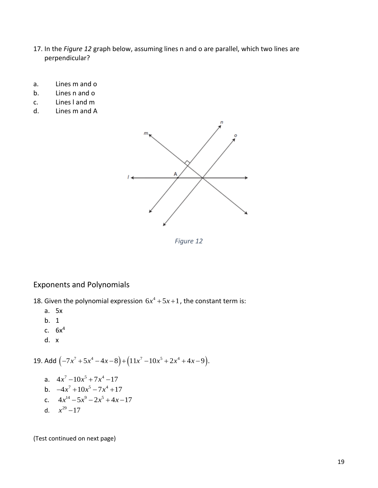- 17. In the *Figure 12* graph below, assuming lines n and o are parallel, which two lines are perpendicular?
- a. Lines m and o
- b. Lines n and o
- c. Lines l and m
- d. Lines m and A



*Figure 12*

# Exponents and Polynomials

18. Given the polynomial expression  $6x^4 + 5x + 1$ , the constant term is:

- a. 5x
- b. 1
- c.  $6x^4$
- d. x

19. Add 
$$
(-7x^7 + 5x^4 - 4x - 8) + (11x^7 - 10x^5 + 2x^4 + 4x - 9)
$$
.

a. 
$$
4x^7 - 10x^5 + 7x^4 - 17
$$
  
\nb.  $-4x^7 + 10x^5 - 7x^4 + 17$   
\nc.  $4x^{14} - 5x^9 - 2x^5 + 4x - 17$   
\nd.  $x^{29} - 17$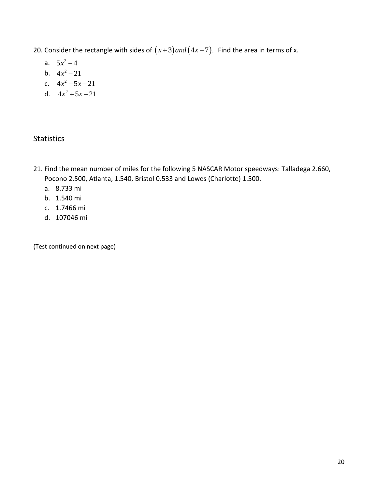- 20. Consider the rectangle with sides of  $(x+3)$  and  $(4x-7)$ . Find the area in terms of x.
	- a.  $5x^2 4$
	- b.  $4x^2 21$
	- c.  $4x^2 5x 21$
	- d.  $4x^2 + 5x 21$

# **Statistics**

- 21. Find the mean number of miles for the following 5 NASCAR Motor speedways: Talladega 2.660, Pocono 2.500, Atlanta, 1.540, Bristol 0.533 and Lowes (Charlotte) 1.500.
	- a. 8.733 mi
	- b. 1.540 mi
	- c. 1.7466 mi
	- d. 107046 mi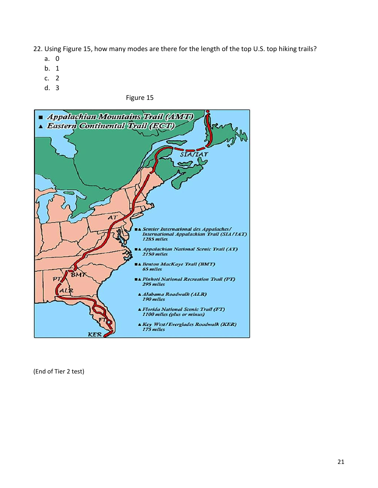22. Using Figure 15, how many modes are there for the length of the top U.S. top hiking trails?

- a. 0
- b. 1
- c. 2
- d. 3

Figure 15



(End of Tier 2 test)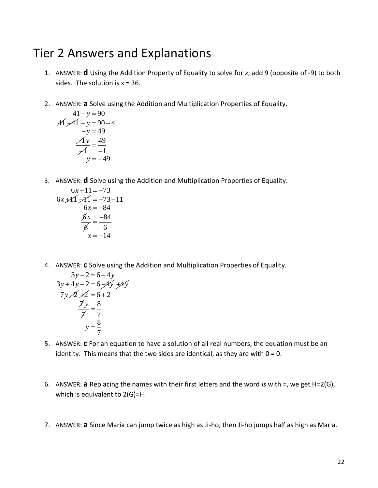# Tier 2 Answers and Explanations

- 1. ANSWER: **d** Using the Addition Property of Equality to solve for *x*, add 9 (opposite of -9) to both sides. The solution is  $x = 36$ .
- 2. ANSWER: **a** Solve using the Addition and Multiplication Properties of Equality.

$$
41 - y = 90\n\n\cancel{41} - 41 - y = 90 - 41\n\n\cancel{-1}y = 49\n\n\cancel{41}y = \frac{49}{-1}\n\n\cancel{y} = -49
$$

3. ANSWER: **d** Solve using the Addition and Multiplication Properties of Equality.

$$
6x+11 = -73
$$
  
\n
$$
6x+11 = -73-11
$$
  
\n
$$
6x = -84
$$
  
\n
$$
\frac{6x}{6} = \frac{-84}{6}
$$
  
\n
$$
x = -14
$$

4. ANSWER: **c** Solve using the Addition and Multiplication Properties of Equality.

$$
3y-2=6-4y
$$
  
\n
$$
3y+4y-2=6-4y+4y
$$
  
\n
$$
7y-2 \neq 2 = 6+2
$$
  
\n
$$
\frac{7y}{7} = \frac{8}{7}
$$
  
\n
$$
y = \frac{8}{7}
$$

- 5. ANSWER: **c** For an equation to have a solution of all real numbers, the equation must be an identity. This means that the two sides are identical, as they are with  $0 = 0$ .
- 6. ANSWER: **a** Replacing the names with their first letters and the word *is* with =, we get H=2(G), which is equivalent to 2(G)=H.
- 7. ANSWER: **a** Since Maria can jump twice as high as Ji-ho, then Ji-ho jumps half as high as Maria.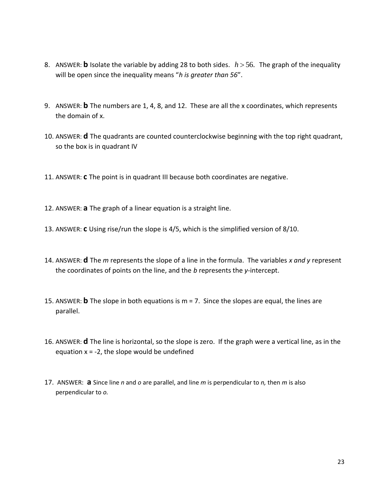- 8. ANSWER: **b** Isolate the variable by adding 28 to both sides.  $h > 56$ . The graph of the inequality will be open since the inequality means "*h is greater than 56*".
- 9. ANSWER: **b** The numbers are 1, 4, 8, and 12. These are all the x coordinates, which represents the domain of x.
- 10. ANSWER: **d** The quadrants are counted counterclockwise beginning with the top right quadrant, so the box is in quadrant IV
- 11. ANSWER: **c** The point is in quadrant III because both coordinates are negative.
- 12. ANSWER: **a** The graph of a linear equation is a straight line.
- 13. ANSWER: **c** Using rise/run the slope is 4/5, which is the simplified version of 8/10.
- 14. ANSWER: **d** The *m* represents the slope of a line in the formula. The variables *x and y* represent the coordinates of points on the line, and the *b* represents the *y*-intercept.
- 15. ANSWER: **b** The slope in both equations is m = 7. Since the slopes are equal, the lines are parallel.
- 16. ANSWER: **d** The line is horizontal, so the slope is zero. If the graph were a vertical line, as in the equation  $x = -2$ , the slope would be undefined
- 17. ANSWER: **a** Since line *n* and *o* are parallel, and line *m* is perpendicular to *n,* then *m* is also perpendicular to *o.*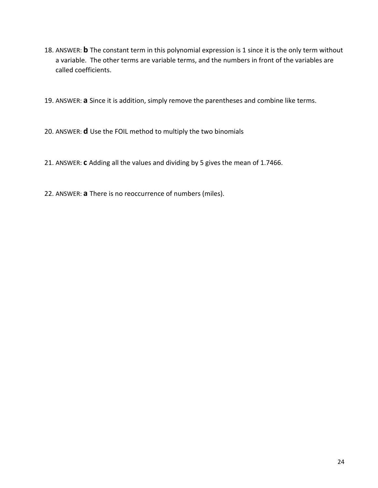- 18. ANSWER: **b** The constant term in this polynomial expression is 1 since it is the only term without a variable. The other terms are variable terms, and the numbers in front of the variables are called coefficients.
- 19. ANSWER: **a** Since it is addition, simply remove the parentheses and combine like terms.
- 20. ANSWER: **d** Use the FOIL method to multiply the two binomials
- 21. ANSWER: **c** Adding all the values and dividing by 5 gives the mean of 1.7466.
- 22. ANSWER: **a** There is no reoccurrence of numbers (miles).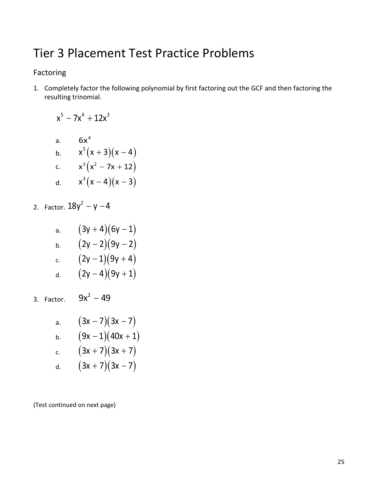# Tier 3 Placement Test Practice Problems

# Factoring

1. Completely factor the following polynomial by first factoring out the GCF and then factoring the resulting trinomial.

$$
x^{5}-7x^{4}+12x^{3}
$$
  
a.  $6x^{4}$   
b.  $x^{5}(x+3)(x-4)$   
c.  $x^{3}(x^{2}-7x+12)$   
d.  $x^{3}(x-4)(x-3)$ 

2. Factor. 
$$
18y^2 - y - 4
$$

| а. | $(3y+4)(6y-1)$ |
|----|----------------|
| b. | $(2y-2)(9y-2)$ |
| c. | $(2y-1)(9y+4)$ |
| d. | $(2y-4)(9y+1)$ |

3. Factor.  $9x^2 - 49$ 

| a. | $(3x-7)(3x-7)$     |
|----|--------------------|
| b. | $(9x-1)(40x+1)$    |
| c. | $(3x + 7)(3x + 7)$ |
| d. | $(3x + 7)(3x - 7)$ |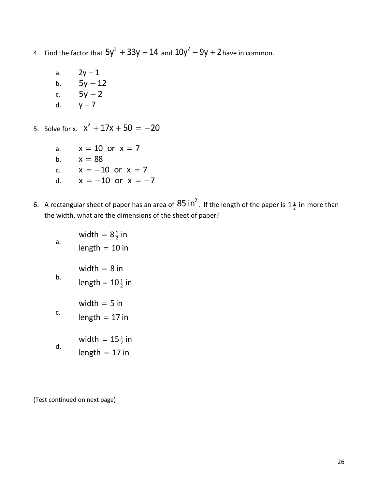- 4. Find the factor that  $5y^2 + 33y 14$  and  $10y^2 9y + 2$  have in common.
	- a.  $2y - 1$ b. 5y − 12 c. 5y 2 <sup>−</sup> d.  $y + 7$

5. Solve for x.  $x^2 + 17x + 50 = -20$ 

- a.  $x = 10$  or  $x = 7$ b.  $x = 88$ c.  $x = -10$  or  $x = 7$ d.  $x = -10$  or  $x = -7$
- 6. A rectangular sheet of paper has an area of  $85$  In<sup>2</sup>. If the length of the paper is  $1\frac{1}{2}$  in more than the width, what are the dimensions of the sheet of paper?
	- a. width  $= 8\frac{1}{2}$  in  $length = 10$  in b. 1 length =  $10\frac{1}{2}$  in width  $=8$  in c. width  $=5$  in  $length = 17$  in d. width  $= 15\frac{1}{2}$  in  $length = 17$  in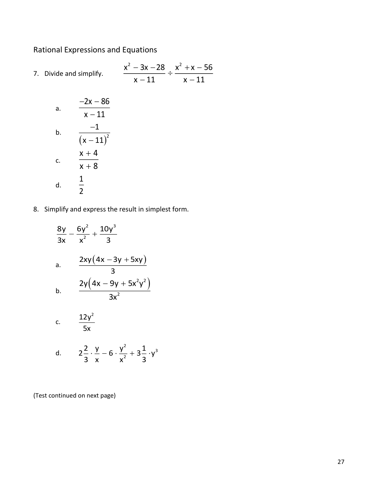# Rational Expressions and Equations

7. Divide and simplify.  $x^2 - 3x - 28$   $x^2 + x - 56$  $x - 11$   $x - 11$ − 3x − 28 x<sup>−</sup> + x −  $\frac{\ }{11}$  ÷  $\frac{\ }{x-}$ 

a. 
$$
\frac{-2x - 86}{x - 11}
$$
  
b. 
$$
\frac{-1}{(x - 11)^2}
$$
  
c. 
$$
\frac{x + 4}{x + 8}
$$
  
d. 
$$
\frac{1}{2}
$$

8. Simplify and express the result in simplest form.

$$
\frac{8y}{3x} - \frac{6y^2}{x^2} + \frac{10y^3}{3}
$$
\na. 
$$
\frac{2xy(4x - 3y + 5xy)}{3}
$$
\nb. 
$$
\frac{2y(4x - 9y + 5x^2y^2)}{3x^2}
$$
\nc. 
$$
\frac{12y^2}{5x}
$$
\nd. 
$$
2\frac{2}{3} \cdot \frac{y}{x} - 6 \cdot \frac{y^2}{x^2} + 3\frac{1}{3} \cdot y^3
$$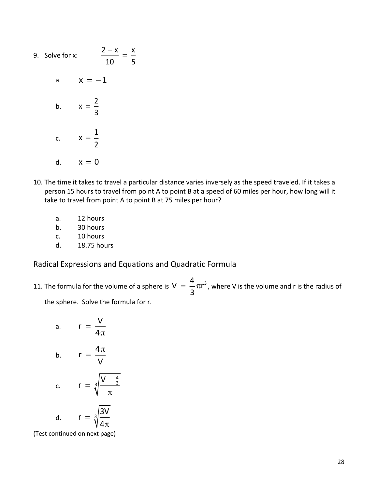- 9. Solve for x:  $2-x$  x 10 5  $\frac{-\lambda}{\lambda}$  = a.  $x = -1$ b. 2 x  $=$  $\frac{1}{3}$ c. 1 x  $=\frac{1}{2}$ d.  $x = 0$
- 10. The time it takes to travel a particular distance varies inversely as the speed traveled. If it takes a person 15 hours to travel from point A to point B at a speed of 60 miles per hour, how long will it take to travel from point A to point B at 75 miles per hour?
	- a. 12 hours
	- b. 30 hours
	- c. 10 hours
	- d. 18.75 hours

Radical Expressions and Equations and Quadratic Formula

11. The formula for the volume of a sphere is  $V = \frac{4}{\pi} \pi^3$  $=$   $-\pi r^3$  , where V is the volume and r is the radius of  $\overline{3}$ 

the sphere. Solve the formula for r.

a. 
$$
r = \frac{V}{4\pi}
$$
  
\nb.  $r = \frac{4\pi}{V}$   
\nc.  $r = \sqrt[3]{\frac{V - \frac{4}{3}}{\pi}}$   
\nd.  $r = \sqrt[3]{\frac{3V}{4\pi}}$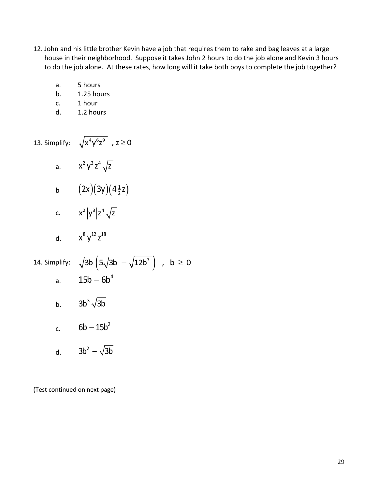- 12. John and his little brother Kevin have a job that requires them to rake and bag leaves at a large house in their neighborhood. Suppose it takes John 2 hours to do the job alone and Kevin 3 hours to do the job alone. At these rates, how long will it take both boys to complete the job together?
	- a. 5 hours
	- b. 1.25 hours
	- c. 1 hour
	- d. 1.2 hours
- 13. Simplify:  $\sqrt{x^4y^6z^9}$  ,  $z\geq 0$ 
	- a.  $x^2y^3z^4\sqrt{z}$
	- b  $(2x)(3y)(4\frac{1}{2}z)$ 2x )( 3y )( 4  $\frac{1}{2}$  z
	- c.  $x^2 |y^3| z^4 \sqrt{z}$

d. 
$$
x^8 y^{12} z^{18}
$$

14. Simplify:  $\sqrt{3b} \left(5\sqrt{3b} - \sqrt{12b^7}\right)$  ,  $b \ge 0$ a.  $15b - 6b^4$ b.  $3b^3 \sqrt{3}b$ c.  $6b - 15b^2$ 

d.  $3b^2 - \sqrt{3}b$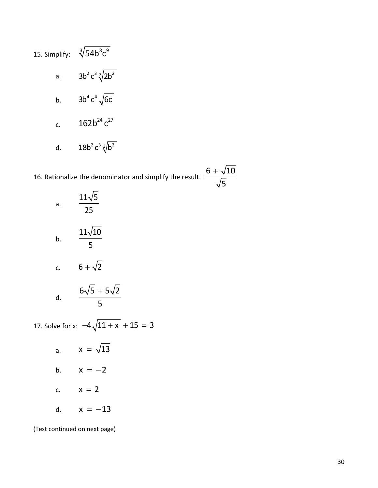15. Simplify:  $\sqrt[3]{54b}^8c^9$ a.  $3b^2 c^3 \sqrt[3]{2b^2}$ b.  $3b^4 c^4 \sqrt{6c}$ c.  $162b^{24}c^{27}$ d.  $18b^2 c^3 \sqrt[3]{b^2}$ 

16. Rationalize the denominator and simplify the result.

 $6 + \sqrt{10}$ 

+

5

| a. | $\frac{11\sqrt{5}}{2}$<br>25    |
|----|---------------------------------|
| b. | $11\sqrt{10}$<br>$\overline{5}$ |
| c. | $6 + \sqrt{2}$                  |
| d. | $6\sqrt{5} + 5\sqrt{2}$<br>5    |

17. Solve for x:  $-4\sqrt{11 + x} + 15 = 3$ 

a.  $x = \sqrt{13}$ b.  $x = -2$ c.  $x = 2$ d.  $x = -13$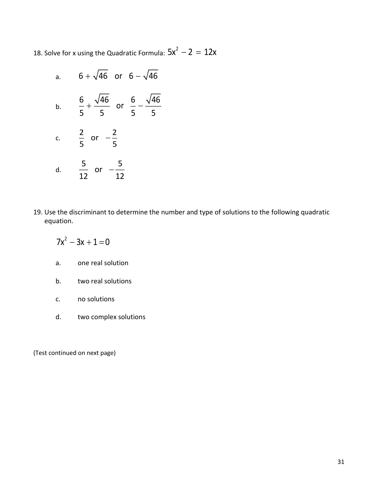18. Solve for x using the Quadratic Formula:  $5x^2 - 2 = 12x$ 

- a.  $6 + \sqrt{46}$  or  $6 \sqrt{46}$ b. 6 46 6 46 or 5 5 5 5 + —— or —c. 2 2 or − ∪ −−<br>5 d. 5 5 or  $\frac{1}{12}$  or  $-\frac{1}{12}$
- 19. Use the discriminant to determine the number and type of solutions to the following quadratic equation.

$$
7x^2-3x+1=0
$$

- a. one real solution
- b. two real solutions
- c. no solutions
- d. two complex solutions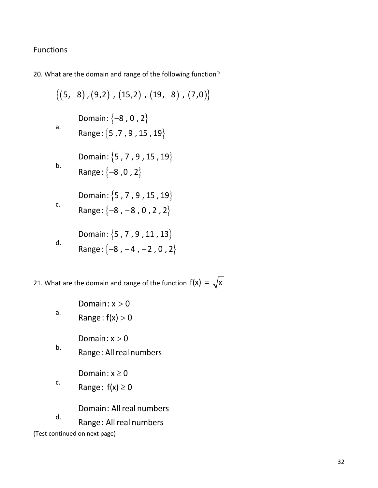# Functions

20. What are the domain and range of the following function?

$$
\{(5,-8), (9,2), (15,2), (19,-8), (7,0)\}\
$$
  
Domain:  $\{-8, 0, 2\}$   
a.  
Range:  $\{5, 7, 9, 15, 19\}$   
b.  
Domain:  $\{5, 7, 9, 15, 19\}$   
b.  
Range:  $\{-8, 0, 2\}$   
Domain:  $\{5, 7, 9, 15, 19\}$   
c.  
Range:  $\{-8, -8, 0, 2, 2\}$   
Domain:  $\{5, 7, 9, 11, 13\}$   
d.  
Range:  $\{-8, -4, -2, 0, 2\}$ 

21. What are the domain and range of the function  $f(x) = \sqrt{x}$ 

Domain: x  $>$  0

a.  $\mathsf{Range} \colon \mathsf{f}(\mathsf{x}) > \mathsf{0}$ 

Domain: x  $>$  0

b. Range: All real numbers

Domain: x  $\geq$  0

c. Range: f(x)  $\geq$  0

Domain: All real numbers

d. Range: All real numbers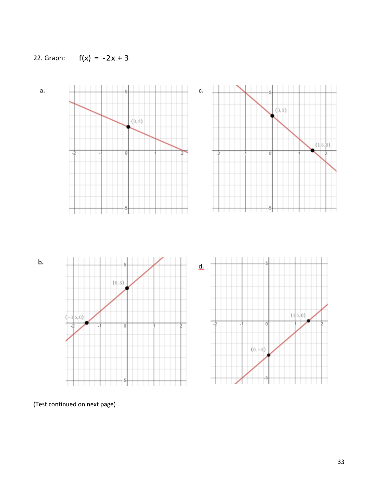

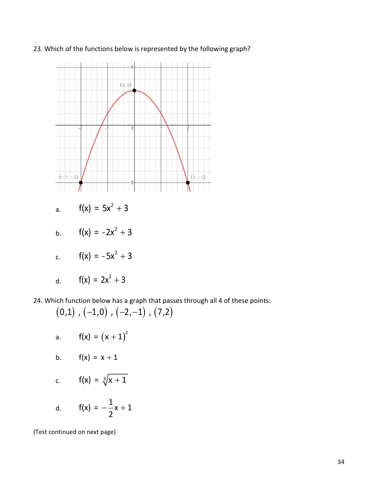



a. 
$$
f(x) = 5x^2 + 3
$$

b. 
$$
f(x) = -2x^2 + 3
$$

c. 
$$
f(x) = -5x^2 + 3
$$

d. 
$$
f(x) = 2x^2 + 3
$$

24. Which function below has a graph that passes through all 4 of these points:

$$
(0,1), (-1,0), (-2,-1), (7,2)
$$

a. 
$$
f(x) = (x + 1)^2
$$

b. 
$$
f(x) = x + 1
$$

c. 
$$
f(x) = \sqrt[3]{x + 1}
$$

d. 
$$
f(x) = -\frac{1}{2}x + 1
$$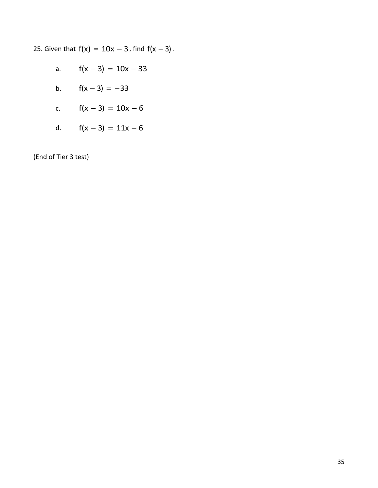25. Given that  $f(x) = 10x - 3$ , find  $f(x - 3)$ .

a.  $f(x - 3) = 10x - 33$ b.  $f(x-3) = -33$ c.  $f(x-3) = 10x - 6$ d.  $f(x-3) = 11x - 6$ 

(End of Tier 3 test)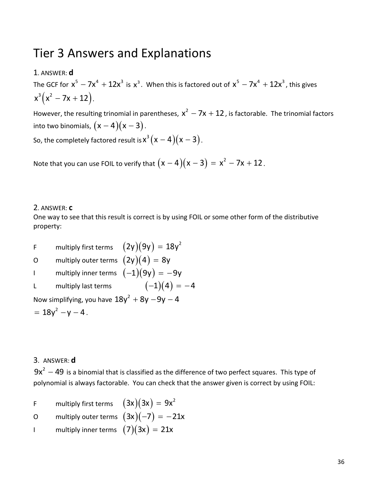# Tier 3 Answers and Explanations

1. ANSWER: **d** 

The GCF for  $x^5 - 7x^4 + 12x^3$  is  $x^3$ . When this is factored out of  $x^5 - 7x^4 + 12x^3$ , this gives  $x^3 (x^2 - 7x + 12).$ 

However, the resulting trinomial in parentheses,  $x^2 - 7x + 12$ , is factorable. The trinomial factors into two binomials,  $(x-4)(x-3)$  .

So, the completely factored result is  $\mathsf{x}^3 \big( \mathsf{x} - \mathsf{4} \big) \big( \mathsf{x} - 3 \big)$  .

Note that you can use FOIL to verify that  $(x-4)(x-3) = x^2$  $(x - 4)(x - 3) = x^2 - 7x + 12$ .

# 2. ANSWER: **c**

One way to see that this result is correct is by using FOIL or some other form of the distributive property:

F and multiply first terms  $(2{\mathsf y})(9{\mathsf y})=18{\mathsf y}^2$ O and multiply outer terms  $(2{\mathsf y})(4) = 8{\mathsf y}$ I and multiply inner terms  $(-1)(9$ y)  $= -9$ y L multiply last terms  $(-1)(4) = -4$ Now simplifying, you have  $18y^2 + 8y - 9y - 4$  $= 18y^2 - y - 4$ .

# 3. ANSWER: **d**

 $9x^2 - 49$  is a binomial that is classified as the difference of two perfect squares. This type of polynomial is always factorable. You can check that the answer given is correct by using FOIL:

- F multiply first terms  $(3x)(3x) = 9x^2$ O multiply outer terms  $(3x)(-7) = -21x$
- I and multiply inner terms  $(7)(3x) = 21x$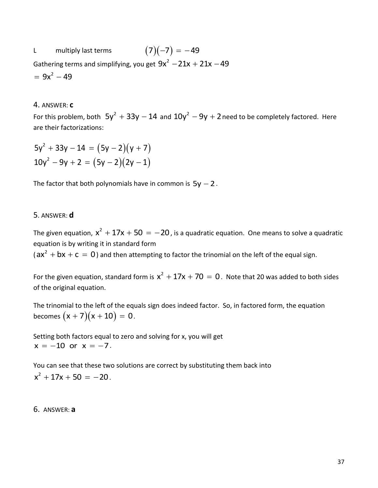L multiply last terms  $(7)(-7) = -49$ Gathering terms and simplifying, you get  $9x^2 - 21x + 21x - 49$  $= 9x^2 - 49$ 

#### 4. ANSWER: **c**

For this problem, both  $5y^2 + 33y - 14$  and  $10y^2 - 9y + 2$  need to be completely factored. Here are their factorizations:

$$
5y2 + 33y - 14 = (5y - 2)(y + 7)
$$
  

$$
10y2 - 9y + 2 = (5y - 2)(2y - 1)
$$

The factor that both polynomials have in common is  $5y - 2$  .

#### 5. ANSWER: **d**

The given equation,  $x^2 + 17x + 50 = -20$  , is a quadratic equation. One means to solve a quadratic equation is by writing it in standard form

( $ax^2 + bx + c = 0$ ) and then attempting to factor the trinomial on the left of the equal sign.

For the given equation, standard form is  $x^2 + 17x + 70 = 0$ . Note that 20 was added to both sides of the original equation.

The trinomial to the left of the equals sign does indeed factor. So, in factored form, the equation becomes  $(x+7)(x+10) = 0$  .

Setting both factors equal to zero and solving for x, you will get  $x = -10$  or  $x = -7$ .

You can see that these two solutions are correct by substituting them back into  $x^2 + 17x + 50 = -20$ .

#### 6. ANSWER: **a**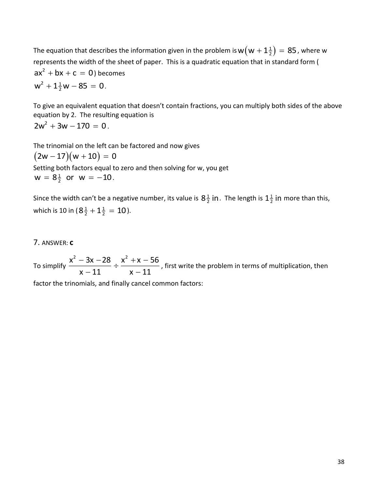The equation that describes the information given in the problem is  $\mathsf{w} \big( \mathsf{w} + \mathsf{1} \frac{1}{2} \big) = 85$  , where  $\mathsf{w}$ represents the width of the sheet of paper. This is a quadratic equation that in standard form (  $ax^2 + bx + c = 0$ ) becomes  $w^2 + 1\frac{1}{2}w - 85 = 0.$ 

To give an equivalent equation that doesn't contain fractions, you can multiply both sides of the above equation by 2. The resulting equation is  $2w^2 + 3w - 170 = 0$ .

The trinomial on the left can be factored and now gives  $(2w - 17)(w + 10) = 0$ Setting both factors equal to zero and then solving for w, you get  $w = 8\frac{1}{2}$  or  $w = -10$ .

Since the width can't be a negative number, its value is  $8\frac{1}{2}$  $8\frac{1}{2}$  in . The length is  $1\frac{1}{2}$  $1\frac{1}{2}$  in more than this, which is 10 in ( $8\frac{1}{2} + 1\frac{1}{2} = 10$ ).

#### 7. ANSWER: **c**

To simplify  $\frac{x^2 - 3x - 28}{x^2 + x - 56}$  $\frac{3x+20}{x-11} \div \frac{x+20}{x-11}$  $\frac{-3x-28}{x-11}$  ÷  $\frac{x^2+x-56}{x-11}$ , first write the problem in terms of multiplication, then

factor the trinomials, and finally cancel common factors: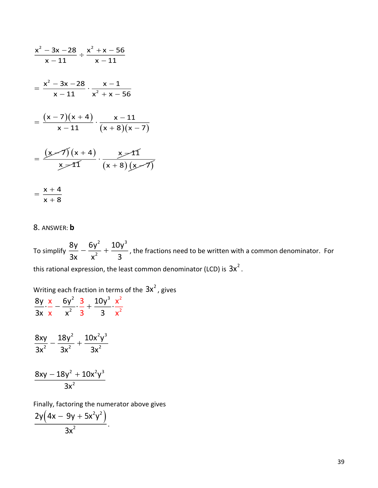$$
\frac{x^2 - 3x - 28}{x - 11} \div \frac{x^2 + x - 56}{x - 11}
$$
\n
$$
= \frac{x^2 - 3x - 28}{x - 11} \cdot \frac{x - 1}{x^2 + x - 56}
$$
\n
$$
= \frac{(x - 7)(x + 4)}{x - 11} \cdot \frac{x - 11}{(x + 8)(x - 7)}
$$
\n
$$
= \frac{(x - 7)(x + 4)}{x - 11} \cdot \frac{x - 11}{(x + 8)(x - 7)}
$$
\n
$$
= \frac{x + 4}{x + 8}
$$

#### 8. ANSWER: **b**

 $\frac{(x-7)(x+4)}{x-11}$ .  $\frac{x-11}{(x+8)(x-7)}$ <br>  $\frac{x}{(x-4)^2}$ .  $\frac{x}{(x+8)(x-7)}$ <br>  $\frac{x+4}{(x+8)(x-7)}$ <br>  $\frac{x+4}{x+8}$ <br>
Assume to<br>  $\sinh(\frac{8y}{3x} - \frac{6y^2}{x^2} + \frac{10y^3}{3})$ , the fractions need to be written with a common denominator. For To simplify 2  $40<sup>-3</sup>$ 2 8y 6y<del>′</del> 10y 3x  $x^2$  3  $-\frac{1}{2}$  +  $\frac{1}{2}$ , the fractions need to be written with a common denominator. For this rational expression, the least common denominator (LCD) is  $3x^2$  .

Writing each fraction in terms of the  $3x^2$  , gives 2  $2^{3}$ 2 8y x 6y 3 10y x 6v<sup>2</sup> 3 10v<sup>3</sup> x ·— — ——́-· — + ——́-·

2

$$
\frac{8xy}{3x^2} - \frac{18y^2}{3x^2} + \frac{10x^2y^3}{3x^2}
$$

2

3x x x<sup>2</sup> 3 3

3 x x

2  $3$ 2  $8$ xy  $18$ y $^{\circ}$   $+$   $10$ x $^{\circ}$ y 3 x − 18v<sup>-</sup> +

Finally, factoring the numerator above gives

$$
\frac{2y\left(4x-9y+5x^2y^2\right)}{3x^2}.
$$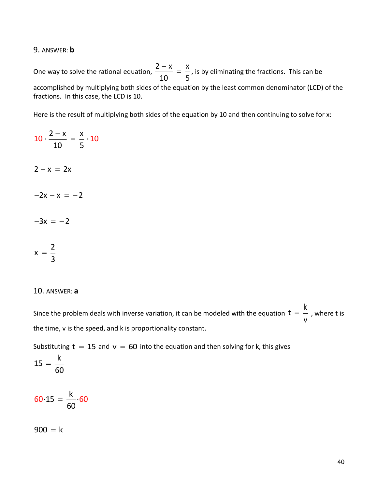#### 9. ANSWER: **b**

One way to solve the rational equation,  $2-x$  x 10 5  $\frac{-\mathsf{x}}{-\mathsf{x}}$  =  $\frac{\mathsf{x}}{-\mathsf{x}}$ , is by eliminating the fractions. This can be accomplished by multiplying both sides of the equation by the least common denominator (LCD) of the fractions. In this case, the LCD is 10.

Here is the result of multiplying both sides of the equation by 10 and then continuing to solve for x:

 $2-x$  x 10 5  $2-x = 2x$  $-2x - x = -2$  $-3x = -2$ 2 x  $=$  $\frac{1}{3}$  $10 \cdot \frac{2 - \lambda}{\lambda} = - \cdot 10$ 

#### 10. ANSWER: **a**

Since the problem deals with inverse variation, it can be modeled with the equation k t v  $=$   $-$  , where t is the time, v is the speed, and k is proportionality constant.

Substituting  $t = 15$  and  $v = 60$  into the equation and then solving for k, this gives

$$
15=\frac{k}{60}
$$

k 15 60 60 15  $=$   $-$  60

900 = k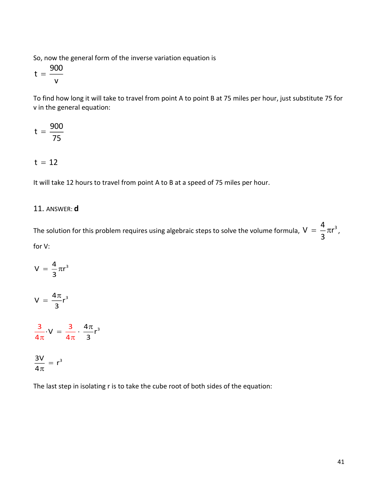So, now the general form of the inverse variation equation is

900 t v =

To find how long it will take to travel from point A to point B at 75 miles per hour, just substitute 75 for v in the general equation:

$$
t = \frac{900}{75}
$$

$$
t\,=\,12
$$

It will take 12 hours to travel from point A to B at a speed of 75 miles per hour.

# 11. ANSWER: **d**

The solution for this problem requires using algebraic steps to solve the volume formula,  $V = \frac{4}{\pi} \pi^3$  $=$   $\frac{1}{3} \pi r^3$ , for V:

$$
V = \frac{4}{3}\pi r^3
$$

$$
V\,=\,\frac{4\pi}{3}r^3
$$

$$
\frac{3}{4\pi} \cdot V = \frac{3}{4\pi} \cdot \frac{4\pi}{3} r^3
$$

$$
\frac{3V}{4\pi} = r^3
$$

The last step in isolating r is to take the cube root of both sides of the equation: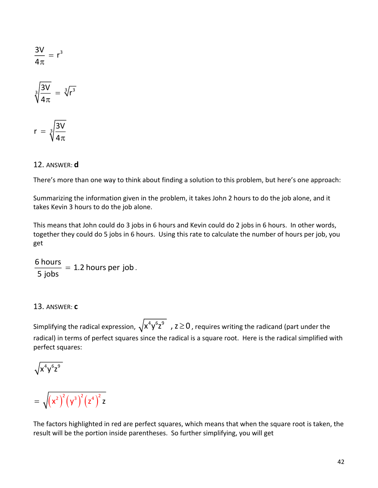$$
\frac{3V}{4\pi} = r^3
$$

$$
\sqrt[3]{\frac{3V}{4\pi}} = \sqrt[3]{r^3}
$$

$$
r\,=\,\sqrt[3]{\frac{3V}{4\pi}}
$$

# 12. ANSWER: **d**

There's more than one way to think about finding a solution to this problem, but here's one approach:

Summarizing the information given in the problem, it takes John 2 hours to do the job alone, and it takes Kevin 3 hours to do the job alone.

This means that John could do 3 jobs in 6 hours and Kevin could do 2 jobs in 6 hours. In other words, together they could do 5 jobs in 6 hours. Using this rate to calculate the number of hours per job, you get

 $\frac{6 \text{ hours}}{2 \text{ hours}} = 1.2 \text{ hours per job}$  $\frac{1}{5}$  jobs = 1.2 hours per job .

# 13. ANSWER: **c**

Simplifying the radical expression,  $\sqrt{x^4y^6z^9}$  ,  $z\!\geq\!0$  , requires writing the radicand (part under the radical) in terms of perfect squares since the radical is a square root. Here is the radical simplified with perfect squares:

$$
\sqrt{x^4y^6z^9}
$$

$$
= \sqrt{{\left(x^{2}\right)}^{2}{\left(y^{3}\right)}^{2}{\left(z^{4}\right)}^{2}z}
$$

The factors highlighted in red are perfect squares, which means that when the square root is taken, the result will be the portion inside parentheses. So further simplifying, you will get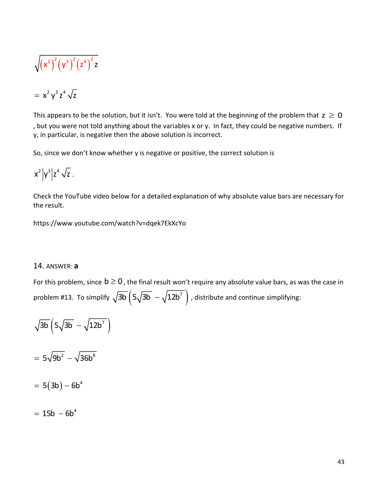$$
\sqrt{\left(x^2\right)^2\left(y^3\right)^2\left(z^4\right)^2z}
$$

$$
= x^2 y^3 z^4 \sqrt{z}
$$

This appears to be the solution, but it isn't. You were told at the beginning of the problem that  $z \ge 0$ , but you were not told anything about the variables x or y. In fact, they could be negative numbers. If y, in particular, is negative then the above solution is incorrect.

So, since we don't know whether y is negative or positive, the correct solution is

$$
x^2\Big|y^3\Big|z^4\,\sqrt{z}\;.
$$

Check the YouTube video below for a detailed explanation of why absolute value bars are necessary for the result.

https://www.youtube.com/watch?v=dqek7EkXcYo

#### 14. ANSWER: **a**

For this problem, since  $b \ge 0$  , the final result won't require any absolute value bars, as was the case in problem #13. To simplify  $\sqrt{3\mathsf{b}}\left(5\sqrt{3\mathsf{b}}\right. - \sqrt{12\mathsf{b}^7}\right)$  , distribute and continue simplifying:

$$
\sqrt{3b}\left(5\sqrt{3b} - \sqrt{12b^7}\right)
$$

$$
= 5\sqrt{9b^2} - \sqrt{36b^8}
$$

$$
= 5(3b) - 6b^4
$$

$$
= 15b - 6b^4
$$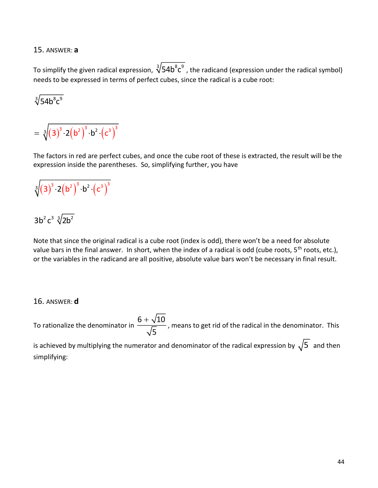15. ANSWER: **a**

To simplify the given radical expression,  $\sqrt[3]{54b}^8c^9$  , the radicand (expression under the radical symbol) needs to be expressed in terms of perfect cubes, since the radical is a cube root:

$$
\sqrt[3]{54b^8c^9}
$$

$$
= \sqrt[3]{(3)^3 \cdot 2(b^2)^3 \cdot b^2 \cdot (c^3)^3}
$$

The factors in red are perfect cubes, and once the cube root of these is extracted, the result will be the expression inside the parentheses. So, simplifying further, you have

# $\sqrt[3]{(3)^3 \cdot 2\left(b^2\right)^3 \cdot b^2 \cdot \left(c^3\right)^3}$

# $3\mathsf{b}^2\mathsf{c}^3\sqrt[3]{2\mathsf{b}^2}$

Note that since the original radical is a cube root (index is odd), there won't be a need for absolute value bars in the final answer. In short, when the index of a radical is odd (cube roots, 5<sup>th</sup> roots, etc.), or the variables in the radicand are all positive, absolute value bars won't be necessary in final result.

# 16. ANSWER: **d**

To rationalize the denominator in  $6+\sqrt{10}$ 5  $+\sqrt{10}$ , means to get rid of the radical in the denominator. This

is achieved by multiplying the numerator and denominator of the radical expression by  $\sqrt{5}$  and then simplifying: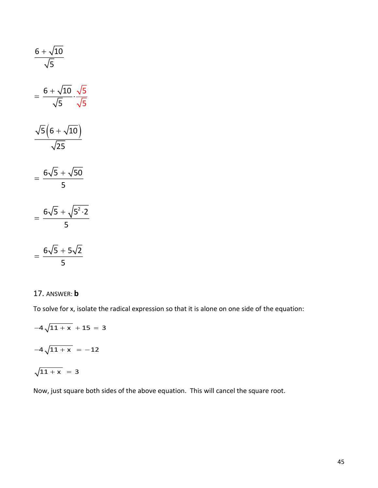$$
\frac{6 + \sqrt{10}}{\sqrt{5}}
$$
\n
$$
= \frac{6 + \sqrt{10}}{\sqrt{5}} \cdot \frac{\sqrt{5}}{\sqrt{5}}
$$
\n
$$
\frac{\sqrt{5}(6 + \sqrt{10})}{\sqrt{25}}
$$
\n
$$
= \frac{6\sqrt{5} + \sqrt{50}}{5}
$$
\n
$$
= \frac{6\sqrt{5} + \sqrt{5^2 \cdot 2}}{5}
$$
\n
$$
= \frac{6\sqrt{5} + 5\sqrt{2}}{5}
$$
\n17. Answer: **b**  
\nTo solve for x, isolate the radical expression so that it is alone on one side of the equation:  
\n
$$
-4\sqrt{11 + x} + 15 = 3
$$
\n
$$
-4\sqrt{11 + x} = -12
$$
\n
$$
\sqrt{11 + x} = 3
$$
\nNow, just square both sides of the above equation. This will cancel the square root.

# 17. ANSWER: **b**

To solve for x, isolate the radical expression so that it is alone on one side of the equation:

$$
-4\sqrt{11 + x} + 15 = 3
$$

$$
-4\sqrt{11 + x} = -12
$$

$$
\sqrt{11 + x} = 3
$$

Now, just square both sides of the above equation. This will cancel the square root.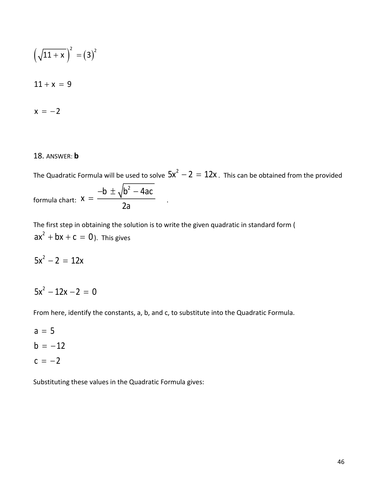$$
\left(\sqrt{11+x}\right)^2 = \left(3\right)^2
$$

$$
11 + x = 9
$$

$$
x = -2
$$

#### 18. ANSWER: **b**

The Quadratic Formula will be used to solve  $5x^2 - 2 = 12x$  . This can be obtained from the provided formula chart: b  $\pm$   $\sqrt{\mathsf{b}^2 - 4}$ ac x 2a –b ± <sub>^</sub>/b<del>´</del> –  $=$   $\frac{1}{2}$   $\cdots$ 

The first step in obtaining the solution is to write the given quadratic in standard form (  $ax^2 + bx + c = 0$ ). This gives

 $5x^2 - 2 = 12x$ 

$$
5x^2 - 12x - 2 = 0
$$

From here, identify the constants, a, b, and c, to substitute into the Quadratic Formula.

a = 5  $b = -12$  $c = -2$ 

Substituting these values in the Quadratic Formula gives: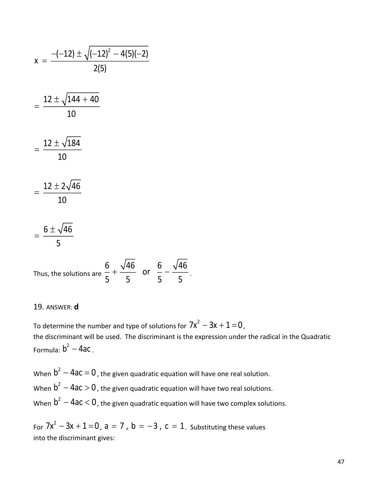$$
x = \frac{-(-12) \pm \sqrt{(-12)^2 - 4(5)(-2)}}{2(5)}
$$
  
= 
$$
\frac{12 \pm \sqrt{144 + 40}}{10}
$$
  
= 
$$
\frac{12 \pm \sqrt{184}}{10}
$$
  
= 
$$
\frac{12 \pm 2\sqrt{46}}{10}
$$
  
= 
$$
\frac{6 \pm \sqrt{46}}{5}
$$

Thus, the solutions are 6 46 6 46 or 5 5 5 5  $+$   $-$  or  $-$ .

#### 19. ANSWER: **d**

To determine the number and type of solutions for  $7x^2 - 3x + 1 = 0$  , the discriminant will be used. The discriminant is the expression under the radical in the Quadratic Formula:  $b^2 - 4ac$ .

When  $\bm{b}^2-\bm{4}$ aC  $=\bm{0}$  , the given quadratic equation will have one real solution. When  $\bm{b}^2-\bm{4}$ aC  $>$   $\bm{0}$  , the given quadratic equation will have two real solutions. When  $\rm b^2-4ac\,{<}\,0$  , the given quadratic equation will have two complex solutions.

For  $7x^2 - 3x + 1 = 0$  ,  $a = 7$  ,  $b = -3$  ,  $c = 1$  . Substituting these values into the discriminant gives: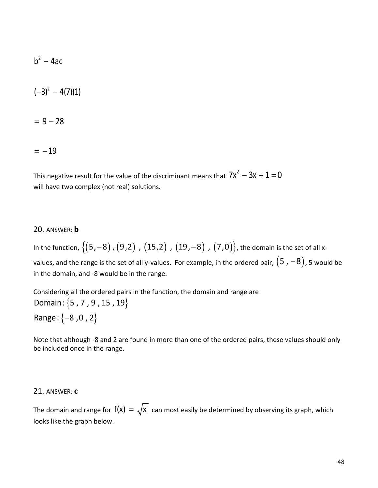$$
b^2 - 4ac
$$

$$
(-3)^2 - 4(7)(1)
$$

= 9 – 28

=  $-19$ 

This negative result for the value of the discriminant means that  $7x^2 - 3x + 1 = 0$ will have two complex (not real) solutions.

# 20. ANSWER: **b**

In the function,  $\big\{(5,-8)$  ,  $(9,2)$  ,  $(15,2)$  ,  $(19,-8)$  ,  $(7,0)\big\}$ , the domain is the set of all xvalues, and the range is the set of all y-values. For example, in the ordered pair,  $(5$  ,  $-8)$ , 5 would be in the domain, and -8 would be in the range.

Considering all the ordered pairs in the function, the domain and range are Domain:  $\{$ 5 , 7 , 9 , 15 , 19 $\}$ Range:  $\{-8$  ,0 , 2 $\}$ 

Note that although -8 and 2 are found in more than one of the ordered pairs, these values should only be included once in the range.

# 21. ANSWER: **c**

The domain and range for  $f(x) = \sqrt{x}$  can most easily be determined by observing its graph, which looks like the graph below.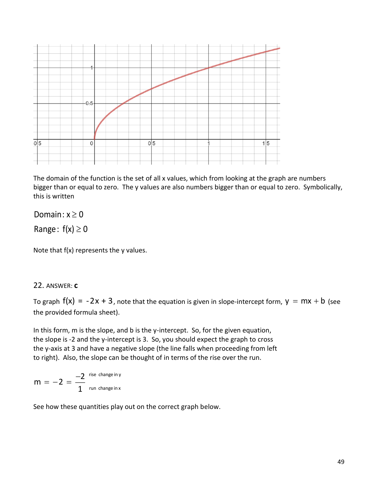

The domain of the function is the set of all x values, which from looking at the graph are numbers bigger than or equal to zero. The y values are also numbers bigger than or equal to zero. Symbolically, this is written

# Domain: x  $\geq$  0

Range:  $f(x) \geq 0$ 

Note that f(x) represents the y values.

# 22. ANSWER: **c**

To graph  $f(x) = -2x + 3$ , note that the equation is given in slope-intercept form,  $y = mx + b$  (see the provided formula sheet).

In this form, m is the slope, and b is the y-intercept. So, for the given equation, the slope is -2 and the y-intercept is 3. So, you should expect the graph to cross the y-axis at 3 and have a negative slope (the line falls when proceeding from left to right). Also, the slope can be thought of in terms of the rise over the run.

$$
m = -2 = \frac{-2}{1}
$$
<sup>rise change in y</sup>  
<sub>run change in x</sub>

See how these quantities play out on the correct graph below.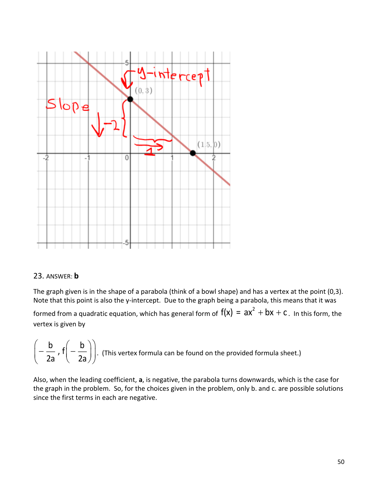

# 23. ANSWER: **b**

The graph given is in the shape of a parabola (think of a bowl shape) and has a vertex at the point (0,3). Note that this point is also the y-intercept. Due to the graph being a parabola, this means that it was formed from a quadratic equation, which has general form of  $f(x) = ax^2 + bx + c$  . In this form, the vertex is given by

$$
\left(-\frac{b}{2a}, f\left(-\frac{b}{2a}\right)\right)
$$
. (This vertex formula can be found on the provided formula sheet.)

Also, when the leading coefficient, **a**, is negative, the parabola turns downwards, which is the case for the graph in the problem. So, for the choices given in the problem, only b. and c. are possible solutions since the first terms in each are negative.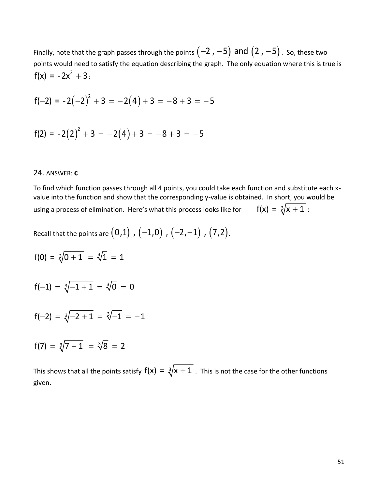Finally, note that the graph passes through the points  $\left( \mathsf{-2} \ \mathrm{,\mathsf{-5}} \right)$  <code>and</code>  $\left( \mathsf{2} \ \mathrm{,\mathsf{-5}} \right)$  . So, these two points would need to satisfy the equation describing the graph. The only equation where this is true is  $f(x) = -2x^2 + 3$ :

$$
f(-2) = -2(-2)^2 + 3 = -2(4) + 3 = -8 + 3 = -5
$$

$$
f(2) = -2(2)^2 + 3 = -2(4) + 3 = -8 + 3 = -5
$$

#### 24. ANSWER: **c**

To find which function passes through all 4 points, you could take each function and substitute each xvalue into the function and show that the corresponding y-value is obtained. In short, you would be using a process of elimination. Here's what this process looks like for  $f(x) = \sqrt[3]{x + 1}$ :

Recall that the points are  $\big(0,1\big)$  ,  $\big(-1,0\big)$  ,  $\big(-2,-1\big)$  ,  $\big(7,2\big)$ .

$$
f(0) = \sqrt[3]{0+1} = \sqrt[3]{1} = 1
$$

$$
f(-1) = \sqrt[3]{-1+1} = \sqrt[3]{0} = 0
$$

$$
f(-2) = \sqrt[3]{-2+1} = \sqrt[3]{-1} = -1
$$

$$
f(7) = \sqrt[3]{7+1} = \sqrt[3]{8} = 2
$$

This shows that all the points satisfy  $f(x) = \sqrt[3]{x + 1}$  . This is not the case for the other functions given.